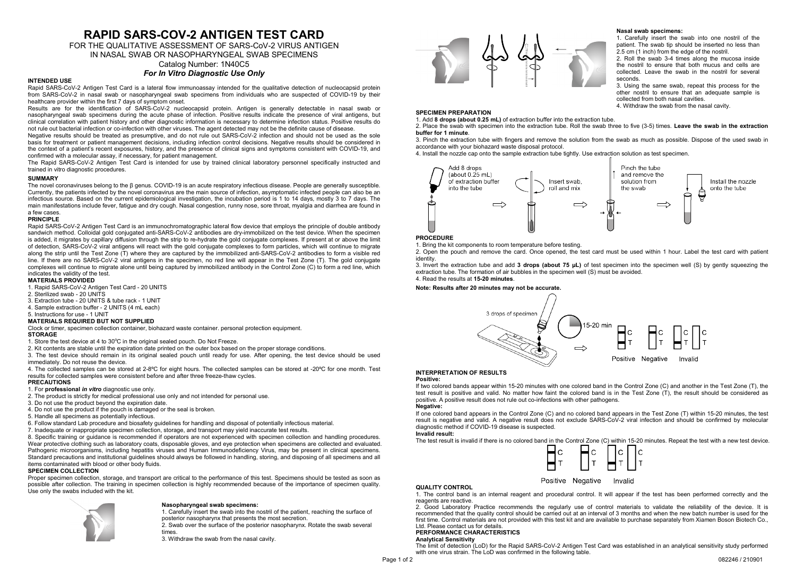# **RAPID SARS-COV-2 ANTIGEN TEST CARD**

FOR THE QUALITATIVE ASSESSMENT OF SARS-CoV-2 VIRUS ANTIGEN

IN NASAL SWAB OR NASOPHARYNGEAL SWAB SPECIMENS

#### Catalog Number: 1N40C5 *For In Vitro Diagnostic Use Only*

#### **INTENDED USE**

Rapid SARS-CoV-2 Antigen Test Card is a lateral flow immunoassay intended for the qualitative detection of nucleocapsid protein from SARS-CoV-2 in nasal swab or nasopharyngeal swab specimens from individuals who are suspected of COVID-19 by their healthcare provider within the first 7 days of symptom onset.

Results are for the identification of SARS-CoV-2 nucleocapsid protein. Antigen is generally detectable in nasal swab or nasopharyngeal swab specimens during the acute phase of infection. Positive results indicate the presence of viral antigens, but clinical correlation with patient history and other diagnostic information is necessary to determine infection status. Positive results do not rule out bacterial infection or co-infection with other viruses. The agent detected may not be the definite cause of disease.

Negative results should be treated as presumptive, and do not rule out SARS-CoV-2 infection and should not be used as the sole basis for treatment or patient management decisions, including infection control decisions. Negative results should be considered in the context of a patient's recent exposures, history, and the presence of clinical signs and symptoms consistent with COVID-19, and confirmed with a molecular assay, if necessary, for patient management.

The Rapid SARS-CoV-2 Antigen Test Card is intended for use by trained clinical laboratory personnel specifically instructed and trained in vitro diagnostic procedures.

### **SUMMARY**

The novel coronaviruses belong to the β genus. COVID-19 is an acute respiratory infectious disease. People are generally susceptible. Currently, the patients infected by the novel coronavirus are the main source of infection, asymptomatic infected people can also be an infectious source. Based on the current epidemiological investigation, the incubation period is 1 to 14 days, mostly 3 to 7 days. The main manifestations include fever, fatigue and dry cough. Nasal congestion, runny nose, sore throat, myalgia and diarrhea are found in a few cases.

#### **PRINCIPLE**

Rapid SARS-CoV-2 Antigen Test Card is an immunochromatographic lateral flow device that employs the principle of double antibody sandwich method. Colloidal gold conjugated anti-SARS-CoV-2 antibodies are dry-immobilized on the test device. When the specimen is added, it migrates by capillary diffusion through the strip to re-hydrate the gold conjugate complexes. If present at or above the limit of detection, SARS-CoV-2 viral antigens will react with the gold conjugate complexes to form particles, which will continue to migrate along the strip until the Test Zone (T) where they are captured by the immobilized anti-SARS-CoV-2 antibodies to form a visible red line. If there are no SARS-CoV-2 viral antigens in the specimen, no red line will appear in the Test Zone (T). The gold conjugate complexes will continue to migrate alone until being captured by immobilized antibody in the Control Zone (C) to form a red line, which indicates the validity of the test.

#### **MATERIALS PROVIDED**

1. Rapid SARS-CoV-2 Antigen Test Card - 20 UNITS

- 2. Sterilized swab 20 UNITS
- 3. Extraction tube 20 UNITS & tube rack 1 UNIT
- 4. Sample extraction buffer 2 UNITS (4 mL each)
- 5. Instructions for use 1 UNIT

#### **MATERIALS REQUIRED BUT NOT SUPPLIED**

Clock or timer, specimen collection container, biohazard waste container. personal protection equipment. **STORAGE**

1. Store the test device at 4 to 30°C in the original sealed pouch. Do Not Freeze.

- 2. Kit contents are stable until the expiration date printed on the outer box based on the proper storage conditions.
- 3. The test device should remain in its original sealed pouch until ready for use. After opening, the test device should be used immediately. Do not reuse the device.

4. The collected samples can be stored at 2-8ºC for eight hours. The collected samples can be stored at -20ºC for one month. Test results for collected samples were consistent before and after three freeze-thaw cycles.

## **PRECAUTIONS**

- 1. For **professional** *in vitro* diagnostic use only.
- 2. The product is strictly for medical professional use only and not intended for personal use.
- 3. Do not use the product beyond the expiration date.
- 4. Do not use the product if the pouch is damaged or the seal is broken.
- 5. Handle all specimens as potentially infectious.
- 6. Follow standard Lab procedure and biosafety guidelines for handling and disposal of potentially infectious material.
- 7. Inadequate or inappropriate specimen collection, storage, and transport may yield inaccurate test results.

8. Specific training or guidance is recommended if operators are not experienced with specimen collection and handling procedures. Wear protective clothing such as laboratory coats, disposable gloves, and eye protection when specimens are collected and evaluated. Pathogenic microorganisms, including hepatitis viruses and Human Immunodeficiency Virus, may be present in clinical specimens. Standard precautions and institutional guidelines should always be followed in handling, storing, and disposing of all specimens and all items contaminated with blood or other body fluids.

#### **SPECIMEN COLLECTION**

Proper specimen collection, storage, and transport are critical to the performance of this test. Specimens should be tested as soon as possible after collection. The training in specimen collection is highly recommended because of the importance of specimen quality. Use only the swabs included with the kit.



## **Nasopharyngeal swab specimens:**

1. Carefully insert the swab into the nostril of the patient, reaching the surface of posterior nasopharynx that presents the most secretion.

2. Swab over the surface of the posterior nasopharynx. Rotate the swab several times.

3. Withdraw the swab from the nasal cavity.



#### **Nasal swab specimens:**

1. Carefully insert the swab into one nostril of the patient. The swab tip should be inserted no less than 2.5 cm (1 inch) from the edge of the nostril.

2. Roll the swab 3-4 times along the mucosa inside the nostril to ensure that both mucus and cells are collected. Leave the swab in the nostril for several seconds.

3. Using the same swab, repeat this process for the other nostril to ensure that an adequate sample is collected from both nasal cavities. 4. Withdraw the swab from the nasal cavity.

## **SPECIMEN PREPARATION**

1. Add **8 drops (about 0.25 mL)** of extraction buffer into the extraction tube.

2. Place the swab with specimen into the extraction tube. Roll the swab three to five (3-5) times. **Leave the swab in the extraction buffer for 1 minute**.

3. Pinch the extraction tube with fingers and remove the solution from the swab as much as possible. Dispose of the used swab in accordance with your biohazard waste disposal protocol.

4. Install the nozzle cap onto the sample extraction tube tightly. Use extraction solution as test specimen.



#### **PROCEDURE**

1. Bring the kit components to room temperature before testing.

2. Open the pouch and remove the card. Once opened, the test card must be used within 1 hour. Label the test card with patient identity.

3. Invert the extraction tube and add **3 drops (about 75 μL)** of test specimen into the specimen well (S) by gently squeezing the extraction tube. The formation of air bubbles in the specimen well (S) must be avoided. 4. Read the results at **15-20 minutes**.

## **Note: Results after 20 minutes may not be accurate.**



#### **INTERPRETATION OF RESULTS Positive:**

If two colored bands appear within 15-20 minutes with one colored band in the Control Zone (C) and another in the Test Zone (T), the test result is positive and valid. No matter how faint the colored band is in the Test Zone (T), the result should be considered as positive. A positive result does not rule out co-infections with other pathogens.

#### **Negative:**

If one colored band appears in the Control Zone (C) and no colored band appears in the Test Zone (T) within 15-20 minutes, the test result is negative and valid. A negative result does not exclude SARS-CoV-2 viral infection and should be confirmed by molecular diagnostic method if COVID-19 disease is suspected.

#### **Invalid result:**

The test result is invalid if there is no colored band in the Control Zone (C) within 15-20 minutes. Repeat the test with a new test device.



#### Positive Negative Invalid

## **QUALITY CONTROL**

1. The control band is an internal reagent and procedural control. It will appear if the test has been performed correctly and the reagents are reactive.

2. Good Laboratory Practice recommends the regularly use of control materials to validate the reliability of the device. It is recommended that the quality control should be carried out at an interval of 3 months and when the new batch number is used for the first time. Control materials are not provided with this test kit and are available to purchase separately from Xiamen Boson Biotech Co. Ltd. Please contact us for details.

#### **PERFORMANCE CHARACTERISTICS**

#### **Analytical Sensitivity**

The limit of detection (LoD) for the Rapid SARS-CoV-2 Antigen Test Card was established in an analytical sensitivity study performed with one virus strain. The LoD was confirmed in the following table.